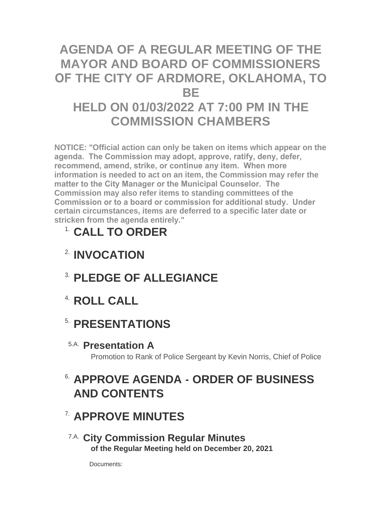## **AGENDA OF A REGULAR MEETING OF THE MAYOR AND BOARD OF COMMISSIONERS OF THE CITY OF ARDMORE, OKLAHOMA, TO BE HELD ON 01/03/2022 AT 7:00 PM IN THE COMMISSION CHAMBERS**

**NOTICE: "Official action can only be taken on items which appear on the agenda. The Commission may adopt, approve, ratify, deny, defer, recommend, amend, strike, or continue any item. When more information is needed to act on an item, the Commission may refer the matter to the City Manager or the Municipal Counselor. The Commission may also refer items to standing committees of the Commission or to a board or commission for additional study. Under certain circumstances, items are deferred to a specific later date or stricken from the agenda entirely."**

# **CALL TO ORDER** 1.

- **INVOCATION** 2.
- **PLEDGE OF ALLEGIANCE** 3.
- **ROLL CALL** 4.

### **5. PRESENTATIONS**

**Presentation A** 5.A.

Promotion to Rank of Police Sergeant by Kevin Norris, Chief of Police

### **APPROVE AGENDA - ORDER OF BUSINESS**  6. **AND CONTENTS**

## **APPROVE MINUTES** 7.

**City Commission Regular Minutes** 7.A. **of the Regular Meeting held on December 20, 2021**

Documents: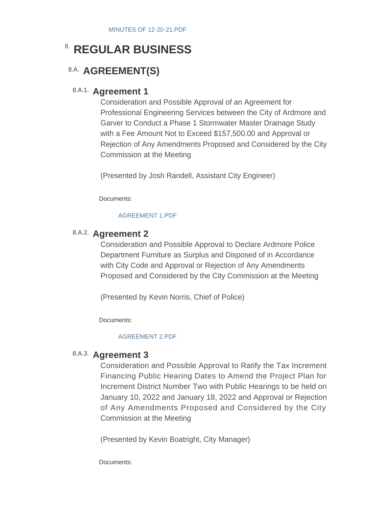### **8. REGULAR BUSINESS**

### 8.A. **AGREEMENT(S)**

#### 8.A.1. **Agreement 1**

Consideration and Possible Approval of an Agreement for Professional Engineering Services between the City of Ardmore and Garver to Conduct a Phase 1 Stormwater Master Drainage Study with a Fee Amount Not to Exceed \$157,500.00 and Approval or Rejection of Any Amendments Proposed and Considered by the City Commission at the Meeting

(Presented by Josh Randell, Assistant City Engineer)

Documents:

#### [AGREEMENT 1.PDF](http://www.ardmorecity.org/AgendaCenter/ViewFile/Item/8010?fileID=4892)

### 8.A.2. **Agreement 2**

Consideration and Possible Approval to Declare Ardmore Police Department Furniture as Surplus and Disposed of in Accordance with City Code and Approval or Rejection of Any Amendments Proposed and Considered by the City Commission at the Meeting

(Presented by Kevin Norris, Chief of Police)

Documents:

#### [AGREEMENT 2.PDF](http://www.ardmorecity.org/AgendaCenter/ViewFile/Item/8012?fileID=4893)

### 8.A.3. Agreement 3

Consideration and Possible Approval to Ratify the Tax Increment Financing Public Hearing Dates to Amend the Project Plan for Increment District Number Two with Public Hearings to be held on January 10, 2022 and January 18, 2022 and Approval or Rejection of Any Amendments Proposed and Considered by the City Commission at the Meeting

(Presented by Kevin Boatright, City Manager)

Documents: